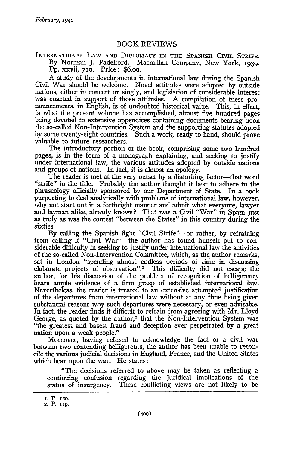INTERNATIONAL LAW AND DIPLOMACY IN THE SPANISH CIVIL STRIFE.

By Norman **J.** Padelford. Macmillan Company, New York, 1939. Pp. xxvii, 710. Price: \$6.00.

A study of the developments in international law during the Spanish Civil War should be welcome. Novel attitudes were adopted by outside nations, either in concert or singly, and legislation of considerable interest was enacted in support of those attitudes. A compilation of these pronouncements, in English, is of undoubted historical value. This, in effect, is what the present volume has accomplished, almost five hundred pages being devoted to extensive appendices containing documents bearing upon the so-called Non-Intervention System and the supporting statutes adopted by some twenty-eight countries. Such a work, ready to hand, should prove valuable to future researchers.

The introductory portion of the book, comprising some two hundred pages, is in the form of a monograph explaining, and seeking to justify under international law, the various attitudes adopted by outside nations and groups of nations. In fact, it is almost an apology.

The reader is met at the very outset by a disturbing factor--that word "strife" in the title. Probably the author thought it best to adhere to the phraseology officially sponsored by our Department of State. In a book purporting to deal analytically with problems of international law, however, why not start out in a forthright manner and admit what everyone, lawyer and layman alike, already knows? That was a Civil "War" in Spain just as truly as was the contest "between the States" in this country during the sixties.

By calling the Spanish fight "Civil Strife"—or rather, by refraining from calling it "Civil War"-the author has found himself put to considerable difficulty in seeking to justify under international law the activities of the so-called Non-Intervention Committee, which, as the author remarks, sat in London "spending almost endless periods of time in discussing elaborate projects of observation".' This difficulty did not escape the author, for his discussion of the problem of recognition of belligerency bears ample evidence of a firm grasp of established international law. Nevertheless, the reader is treated to an extensive attempted justification of the departures from international law without at any time being given substantial reasons why such departures were necessary, or even advisable. In fact, the reader finds it difficult to refrain from agreeing with Mr. Lloyd George, as quoted by the author,<sup>2</sup> that the Non-Intervention System was "the greatest and basest fraud and deception ever perpetrated by a great nation upon a weak people."

Moreover, having refused to acknowledge the fact of a civil war between two contending belligerents, the author has been unable to reconcile the various judicial decisions in England, France, and the United States which bear upon the war. He states:

"The decisions referred to above may be taken as reflecting a continuing confusion regarding the juridical implications of the status of insurgency. These conflicting views are not likely to be

**I.** P. **120.**

**<sup>2.</sup>** P. **Hg.**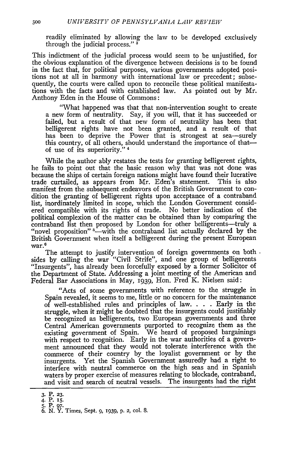readily eliminated by allowing the law to be developed exclusively through the judicial process." **3**

This indictment of the judicial process would seem to be unjustified, for the obvious explanation of the divergence between decisions is to be found in the fact that, for political purposes, various governments adopted positions not at all in harmony with international law or precedent; subsequently, the courts were called upon to reconcile these political manifestations with the facts and with established law. As pointed out by Mr. Anthony Eden in the House of Commons:

"What happened was that that non-intervention sought to create a new form of neutrality. Say, if you will, that it has succeeded or failed, but a result of that new form of neutrality has been that belligerent rights have not been granted, and a result of that has been to deprive the Power that is strongest at sea—surely this country, of all others, should understand the importance of thatof use of its superiority." 4

While the author ably restates the tests for granting belligerent rights, he fails to point out that the basic reason why that was not done was because the ships of certain foreign nations might have found their lucrative trade curtailed, as appears from Mr. Eden's statement. This is also trade curtailed, as appears from Mr. Eden's statement. manifest from the subsequent endeavors of the British Government to condition the granting of belligerent rights upon acceptance of a contraband list, inordinately limited in scope, which the London Government considered compatible with its rights of trade. No better indication of the political complexion of the matter can be obtained than **by** comparing the "novel proposition"<sup>5</sup> -with the contraband list actually declared by the British Government when itself a belligerent during the present European 6 war.

The attempt to justify intervention of foreign governments on both. sides **by** calling the war "Civil Strife", and one group of belligerents "Insurgents", has already been forcefully exposed **by** a former Solicitor of the Department of State. Addressing a joint meeting of the American and Federal Bar Associations in May, 1939, Hon. Fred K. Nielsen said:

"Acts of some governments with reference to the struggle in Spain revealed, it seems to me, little or no concern for the maintenance of well-established rules and principles of law. . **.** . Early in the struggle, when it might be doubted that the insurgents could justifiably be recognized as belligerents, two European governments and three Central American governments purported to recognize them as the existing government of Spain. We heard of proposed bargainings with respect to rcognition. Early in the war authorities of a government announced that they would not tolerate interference with the commerce of their country by the loyalist government or by the insurgents. Yet the Spanish Government assuredly had a right to interfere with neutral commerce on the high seas and in Spanish waters **by** proper exercise of measures relating to blockade, contraband, and visit and search of neutral vessels. The insurgents **had** the right

**<sup>3.</sup>** P. **23.** 4. P. **i5. 5.** P. **97.**

<sup>6.</sup> **N.** Y. Times, Sept. 9, **1939, p.** 2, cOl. 8.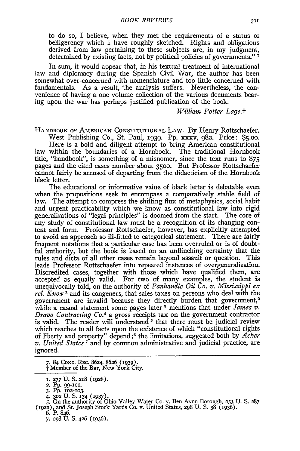to do so, I believe, when they met the requirements of a status of belligerency which I have roughly sketched. Rights and obligations derived from law pertaining to these subjects are, in my judgment, determined by existing facts, not by political policies of governments." **7**

In sum, it would appear that, in his textual treatment of international law and diplomacy during the Spanish Civil War, the author has been somewhat over-concerned with nomenclature and too little concerned with fundamentals. As a result, the analysis suffers. Nevertheless, the convenience of having a one volume collection of the various documents bearing upon the war has perhaps justified publication of the book.

#### *William Potter Lage.t*

HANDBOOK OF AMERICAN **CONSTITUTIONAL** LAW. By Henry Rottschaefer. West Publishing Co., St. Paul, **1939.** Pp. xxxv, 982. Price: \$5.oo.

Here is a bold and diligent attempt to bring American constitutional law within the boundaries of a Hornbook. The traditional Hornbook title, "handbook", is something of a misnomer, since the text runs to **875** pages and the cited cases number about 35oo. But Professor Rottschaefer cannot fairly be accused of departing from the didacticism of the Hornbook black letter.

The educational or informative value of black letter is debatable even when the propositions seek to encompass a comparatively stable field of law. The attempt to compress the shifting flux of metaphysics, social habit and urgent practicability which we know as constitutional law into rigid generalizations of "legal principles" is doomed from the start. The core of any study of constitutional law must be a recognition of its changing content and form. Professor Rottschaefer, however, has explicitly attempted to avoid an approach so ill-fitted to categorical statement. There are fairly frequent notations that a particular case has been overruled or is of doubtful authority, but the book is based on an unflinching certainty that the rules and dicta of all other cases remain beyond assault or question. This leads Professor Rottschaefer into repeated instances of overgeneralization. Discredited cases, together with those which have qualified them, are accepted as equally valid. For two of many examples, the student is unequivocally told, on the authority of *Panhandle Oil Co.* v. *Mississippi ex rel. Knox* **1** and its congeners, that sales taxes on persons who deal with the government are invalid because they directly burden that government,<sup>2</sup> while a casual statement some pages later **3** mentions that under *James v. Dravo Contracting Co.<sup>4</sup>*a gross receipts tax on the government contractor is valid. The reader will understand  $5$  that there must be judicial review which reaches to all facts upon the existence of which "constitutional rights of liberty and property" depend **;6** the limitations, suggested both by *Acker v. United States <sup>7</sup>*and by common administrative and judicial practice, are ignored.

**7.** 84 **CONG. REC. 8624, 8626 (1939).** t Member of the Bar, New York City.

**6.** P. 846.

**I. 277** U. **S. 218** (1928).

**<sup>2.</sup>** Pp. **99-100.**

**<sup>3.</sup>** PP. **102-103. 4. 302 U. S. 134 (1937). 5.** On the authority of Ohio Valley Water Co. v. Ben Avon Borough. **253 U. S.** *287* **(I92O),** and St. Joseph Stock Yards Co. v. United States, **298 U. S.** 38 **(1936).**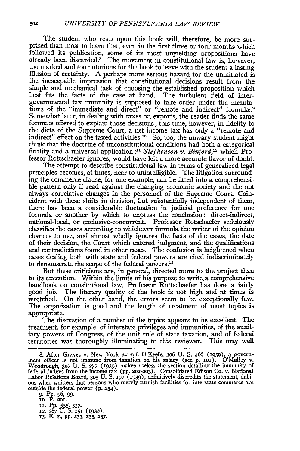The student who rests upon this book will, therefore, be more surprised than most to learn that, even in the first three or four months which followed its publication, some of its most unyielding propositions have already been discarded.<sup>8</sup> The movement in constitutional law is, however, too marked and too notorious for the book to leave with the student a lasting illusion of certainty. **A** perhaps more serious hazard for the uninitiated is the inescapable impression that constitutional decisions result from the simple and mechanical task of choosing the established proposition which best fits the facts of the case at hand. The turbulent field of intergovernmental tax immunity is supposed to take order under the incantations of the "immediate and direct" or "remote and indirect" formulæ.<sup>9</sup> Somewhat later, in dealing with taxes on exports, the reader finds the same formule offered to explain those decisions; this time, however, in fidelity to the dicta of the Supreme Court, a net income tax has only a "remote and indirect" effect on the taxed activities.<sup>10</sup> So, too, the unwary student might think that the doctrine of unconstitutional conditions had both a categorical finality and a universal application;" *Stephenson v. Binford,'2* which Professor Rottschaefer ignores, would have left a more accurate flavor of doubt.

The attempt to describe constitutional law in terms of generalized legal principles becomes, at times, near to unintelligible. The litigation surrounding the commerce clause, for one example, can be fitted into a comprehensible pattern only if read against the changing economic society and the not always correlative changes in the personnel of the Supreme Court. Coincident with these shifts in decision, but substantially independent of them, there has been a considerable fluctuation in judicial preference for one formula or another by which to express the conclusion: direct-indirect, national-local, or exclusive-concurrent. Professor Rotschaefer sedulously classifies the cases according to whichever formula the writer of the opinion chances to use, and almost wholly ignores the facts of the cases, the date of their decision, the Court which entered judgment, and the qualifications and contradictions found in other cases. The confusion is heightened when cases dealing both with state and federal powers are cited indiscriminately to demonstrate the scope of the federal powers.<sup>13</sup>

But these criticisms are, in general, directed more to the project than to its execution. Within the limits of his purpose to write a comprehensive handbook on consitutional law, Professor Rottschaefer has done a fairly good job. The literary quality of the book is not high and at times is wretched. On the other hand, the errors seem to be exceptionally few. The organization is good and the length of treatment of most topics is appropriate.

The discussion of a number of the topics appears to be excellent. The treatment, for example, of interstate privileges and immunities, of the auxiliary powers of Congress, of the unit rule of state taxation, and of federal territories was thoroughly illuminating to this reviewer. This may well

8. After Graves v. New York *ex rel*. O'Keefe, 306 U. S. 466 (1939), a government officer is not immune from taxation on his salary (see p. 101). O'Malley v. Woodrough, 307 U. S. 277 (1939) makes useless the section detai

**g. Pp. 96,** *99.* **10. P. 201. IT.** Pp. **555, 557. 12.** 287 **U. S.** 251 **(i932). 13.** E. **g.,** pp. **233, 235, 237.**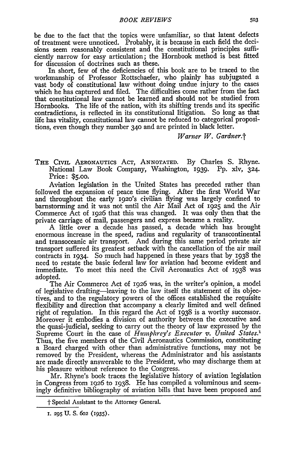be due to the fact that the topics were unfamiliar, so that latent defects of treatment were unnoticed. Probably, it is because in each field the decisions seem reasonably consistent and the constitutional principles sufficiently narrow for easy articulation; the Hornbook method is best fitted for discussion of doctrines such as these.

In short, few of the deficiencies of this book are to be traced to the workmanship of Professor Rottschaefer, who plainly has subjugated a vast body of constitutional law without doing undue injury to the cases which he has captured and filed. The difficulties come rather from the fact that constitutional law cannot be learned and should not be studied from Hornbooks. The life of the nation, with its shifting trends and its specific contradictions, is reflected in its constitutional litigation. So long as that life has vitality, constitutional law cannot be reduced to categorical propositions, even though they number **340** and are printed in black letter.

*Warner W. Gardner.t*

THE CIVIL AERONAUTIcs ACT, ANNOTATED. By Charles S. Rhyne. National Law Book Company, Washington, 1939. Pp. xlv, 324. Price: **\$5.00.**

Aviation legislation in the United States has preceded rather than followed the expansion of peace time flying. After the first World War and throughout the early 1920's civilian flying was largely confined to barnstorming and it was not until the Air Mail Act of 1925 and the Air Commerce Act of *1926* that this was changed. It was only then that the private carriage of mail, passengers and express became a reality.

A little over a decade has passed, a decade which has brought enormous increase in the speed, radius and regularity of transcontinental and transoceanic air transport. And during this same period private air transport suffered its greatest setback with the cancellation of the air mail contracts in 1934. So much had happened in these years that by 1938 the need to restate the basic federal law for aviation had become evident and immediate. To meet this need the Civil Aeronautics Act of 1938 was adopted.

The Air Commerce Act of 1926 was, in the writer's opinion, a model of legislative drafting-leaving to the law itself the statement of its objectives, and to the regulatory powers of the offices established the requisite flexibility and direction that accompany a clearly limited and well defined right of regulation. In this regard the Act of 1938 is a worthy successor. Moreover it embodies a division of authority between the executive and the quasi-judicial, seeking to carry out the theory of law expressed by the Supreme Court in the case of *Humphrey's Executor v. United States.1* Thus, the five members of the Civil Aeronautics Commission, constituting a Board charged with other than administrative functions, may not be removed by the President, whereas the Administrator and his assistants are made directly answerable to the President, who may discharge them at his pleasure without reference to the Congress.

Mr. Rhyne's book traces the legislative history of aviation legislation in Congress from 1926 to 1938. He has compiled a voluminous and seemingly definitive bibliography of aviation bills that have been proposed and

t Special Assistant to the Attorney General.

**I. 295** U. S. **6o2** (1935).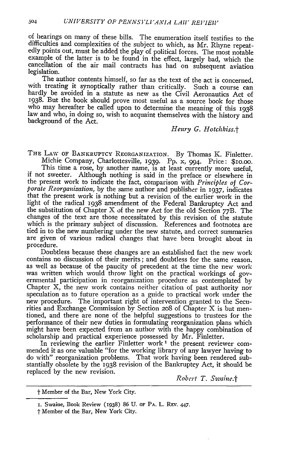of hearings on many of these bills. The enumeration itself testifies to the difficulties and complexities of the subject to which, as Mr. Rhyne repeat- edly points out, must be added the play of political forces. The most notable example of the latter is to be found in the effect, largely bad, which the cancellation of the air mail contracts has had on subsequent aviation legislation.

The author contents himself, so far as the text of the act is concerned, with treating it synoptically rather than critically. Such a course can hardly be avoided in a statute as new as the Civil Aeronautics Act of 1938. But the book should prove most useful as a source book for those who may hereafter be called upon to determine the meaning of this 1938 law and who, in doing so, wish to acquaint themselves with the history and background of the Act.

# *Henry G. Hotchkiss.t*

TnE LAW OF BANKRUPTCY REORGANIZATION. By Thomas K. Finletter. Michie Company, Charlottesville, 1939. Pp. x, 994. Price: \$io.oo.

This time a rose, by another name, is at least currently more useful, if not sweeter. Although nothing is said in the preface or elsewhere in the present work to indicate the fact, comparison with *Principles of Corporate Reorganization,* by the same author and publisher in 1937, indicates that the present work is nothing but a revision of the earlier work in the light of the radical 1938 amendment of the Federal Bankruptcy Act and the substitution of Chapter X of the new Act for the old Section 77B. The changes of the text are those necessitated by this revision of the statute which is the primary subject of discussion. References and footnotes are tied in to the new numbering under the new statute, and correct summaries are given of various radical changes that have been brought about in procedure.

Doubtless because these changes are an established fact the new work contains no discussion of their merits; and doubtless for the same reason. as well as because of the paucity of precedent at the time the new work was written which would throw light on the practical workings of governmental participation in reorganization procedure as contemplated by Chapter X, the new work contains neither citation of past authority nor speculation as to future operation as a guide to practical work under the new procedure. The important right of intervention granted to the Securities and Exchange Commission by Section **208 of** Chapter X is but mentioned, and there are none of the helpful suggestions to trustees for the performance of their new duties in formulating reorganization plans which might have been expected from an author with the happy combination of scholarship and practical experience possessed by Mr. Finletter.

In reviewing the earlier Finletter work **I** the present reviewer commended it as one valuable "for the working library of any lawyer having to do with" reorganization problems. That work having been rendered substantially obsolete by the 1938 revision of the Bankruptcy Act, it should be replaced by the new revision. *Robert T. Swaine.*†

**<sup>1</sup>** Member of the Bar, New York City.

**I.** Swaine, Book Review (i938) 86 U. OF PA. L. Rzv. 447.

t Member of the Bar, New York City.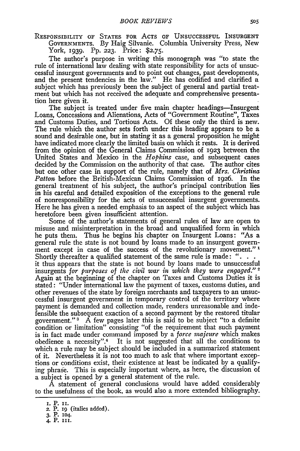RESPONSIBILITY OF STATES FOR **ACTS** OF **UNSUCCESSFUL** INSURGENT GOVERNMENTS. By Haig Silvanie. Columbia University Press, New York, 1939. Pp. **223.** Price: **\$2.75.**

The author's purpose in writing this monograph was "to state the rule of international law dealing with state responsibility for acts of unsuccessful insurgent governments and to point out changes, past developments, and the present tendencies in the law." He has codified and clarified a subject which has previously been the subject of general and partial treatment but which has not received the adequate and comprehensive presentation here given it.

The subject is treated under five main chapter headings—Insurgent Loans, Concessions and Alienations, Acts of "Government Routine", Taxes and Customs Duties, and Tortious Acts. Of these only the third is new. The rule which the author sets forth under this heading appears to be a sound and desirable one, but in stating it as a general proposition he might have indicated more clearly the limited basis on which it rests. It is derived from the opinion of the General Claims Commission of **1923** between the United States and Mexico in the *Hopkins* case, and subsequent cases decided by the Commission on the authority of that case. The author cites but one other case in support of the rule, namely that of *Mrs. Christina Patton* before the British-Mexican Claims Commission of 1926. In the general treatment of his subject, the author's principal contribution lies in his careful and detailed exposition of the exceptions to the general rule of nonresponsibility for the acts of unsuccessful insurgent governments. Here he has given a needed emphasis to an aspect of the subject which has heretofore been given insufficient attention.

Some of the author's statements of general rules of law are open to misuse and misinterpretation in the broad and unqualified form in which he puts them. Thus he begins his chapter on Insurgent Loans: "As a general rule the state is not bound by loans made to an insurgent government except in case of the success of the revolutionary movement." **<sup>1</sup>** Shortly thereafter a qualified statement of the same rule is made: **"...** it thus appears that the state is not bound **by** loans made to unsuccessful insurgents *for purposes of* the *civil war in which they were engaged."* **<sup>2</sup>** Again at the beginning of the chapter on Taxes and Customs Duties it is stated: "Under international law the payment of taxes, customs duties, and other revenues of the State **by** foreign merchants and taxpayers to an unsuccessful insurgent government in temporary control of the territory where payment is demanded and collection made, renders unreasonable and indefensible the subsequent exaction of a second payment **by** the restored titular government." **3** A few pages later this is said to be subject "to a definite condition or limitation" consisting "of the requirement that such payment is in fact made under command imposed **by** a *force majeure* which makes obedience a necessity".<sup>4</sup> It is not suggested that all the conditions to which a rule may be subject should be included in a summarized statement of it. Nevertheless it is not too much to ask that where important exceptions or conditions exist, their existence at least be indicated **by** a qualifying phrase. This is especially important where, as here, the discussion of a subject is opened **by** a general statement of the rule.

A statement of general conclusions would have added considerably to the usefulness of the book, as would also a more extended bibliography.

**I. P. ii.** 2. P. 19 (italics added). **3.** P. **104.** 4. P. **III.**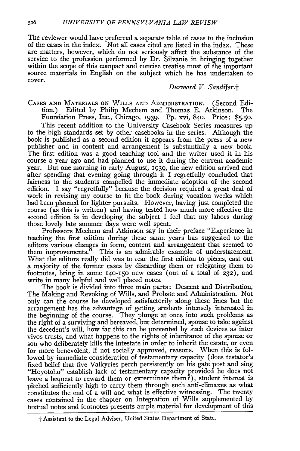The reviewer would have preferred a separate table of cases to the inclusion of the cases in the index. Not all cases cited are listed in the index. These are matters, however, which do not seriously affect the substance of the service to the profession performed by Dr. Silvanie in bringing together within the scope of this compact and concise treatise most of the important source materials in English on the subject which he has undertaken to cover.

# *Durward V. Sandifer.t*

**CASES AND** MATERIALS **ON** WILLS **AND** ADMINISTRATION. (Second Edition.) Edited by Philip Mechem and Thomas E. Atkinson. The Foundation Press, Inc., Chicago, 1939. Pp. xvi, 84o. Price: **\$5.50 .**

This recent addition to the University Casebook Series measures up to the high standards set by other casebooks in the series. Although the book is published as a second edition it appears from the press of a new publisher and in content and arrangement is substantially a new book. The first edition was a good teaching tool and the writer used it in his course a year ago and had planned to use it during the current academic year. But one morning in early August, 1939, the new edition arrived and after spending that evening going through it I regretfully concluded that fairness to the students compelled the immediate adoption of the second edition. I say "regretfully" because the decision required a great deal of work in revising my course to fit the book during vacation weeks which had been planned for lighter pursuits. However, having just completed the course (as this is written) and having tested how much more effective the second edition is in developing the subject I feel that my labors during those lovely late summer days were well spent.

Professors Mechem and Atkinson say in their preface "Experience in teaching the first edition during these same years has suggested to the editors various changes in form, content and arrangement that seemed to them improvements." This is an admirable example of understatement. What the editors really did was to tear the first edition to pieces, cast out a majority of the former cases by discarding them or relegating them to footnotes, bring in some 140-15o new cases (out of a total of **232),** and write in many helpful and well placed notes.

The book is divided into three main parts: Descent and Distribution, The Making and Revoking of Wills, and Probate and Administration. Not only can the course be developed satisfactorily along these lines but the arrangement has the advantage of getting students intensely interested in the beginning of the course. They plunge at once into such problems as the right of a surviving and bereaved, but determined, spouse to take agains the decedent's will, how far this can be prevented by such devices as inter vivos trusts, and what happens to the rights of inheritance of the spouse or son who deliberately kills the intestate in order to inherit the estate, or even for more benevolent, if not socially approved, reasons. When this is followed by immediate consideration of testamentary capacity (does testator's fixed belief that five Valkyries perch persistently on his gate post and sing "Hoyotoho" establish lack of testamentary capacity provided he does not leave a bequest to reward them or exterminate them?), student interest is pitched sufficiently high to carry them through such anti-climaxes as what constitutes the end of a will and what is effective witnessing. The twenty cases contained in the chapter on Integration of Wills supplemented by textual notes and footnotes presents ample material for development of this

**<sup>&</sup>quot;t** Assistant to the Legal Adviser, United States Department of State.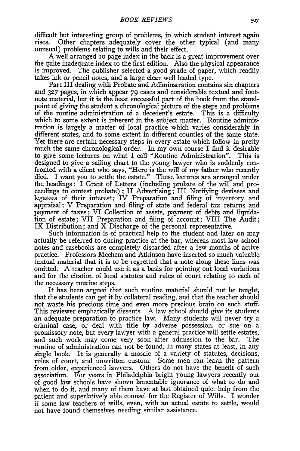difficult but interesting group of problems, in which student interest again rises. Other chapters adequately cover the other typical (and many unusual) problems relating to wills and their effect.

A well arranged **IO** page index in the back is a great improvement over the quite inadequate index to the first edition. Also the physical appearance is improved. The publisher selected a good grade of paper, which readily takes ink or pencil notes, and a large clear well leaded type.

Part III dealing with Probate and Adiminstration contains six chapters and **327** pages, in which appear 79 cases and considerable textual and footnote material, but it is the least successful part of the book from the standpoint of giving the student a chronological picture of the steps and problems of the routine administration of a decedent's estate. This is a difficulty which to some extent is inherent in the subject matter. Routine administration is largely a matter of local practice which varies considerably in different states, and to some extent in different counties of the same state. Yet there are certain necessary steps in every estate which follow in pretty much the same chronological order. In my own course I find it desirable to give some lectures on what I call "Routine Administration". This is designed to give a sailing chart to the young lawyer who is suddenly confronted with a client who says, "Here is the will of my father who recently died. I want you to settle the estate." These lectures are arranged under the headings: I Grant of Letters (including probate of the will and proceedings to contest probate) ; II Advertising; III Notifying devisees and legatees of their interest; IV Preparation and filing of inventory and appraisal; V Preparation and filing of state and federal tax returns and payment of taxes; VI Collection of assets, payment of debts and liquidation of estate; VII Preparation and filing of account; VIII The Audit; IX Distribution; and X Discharge of the personal representative.

Such information is of practical help to the student and later on may actually be referred to during practice at the bar, whereas most law school notes and casebooks are completely discarded after a few months of active practice. Professors Mechem and Atkinson have inserted so much valuable textual material that it is to be regretted that a note along these lines was omitted. A teacher could use it as a basis for pointing out local variations and for the citation of local statutes and rules of court relating to each of the necessary routine steps.

It has been argued that such routine material should not be taught, that the students can get it by collateral reading, and that the teacher should not waste his precious time and even more precious brain on such stuff. This reviewer emphatically dissents. A law school should give its students an adequate preparation to practice law. Many students will never try a criminal case, or deal with title by adverse possession, or sue on a promissory note, but every lawyer with a general practice will settle estates, and such work may come very soon after admission to the bar. The routine of administration can not be found, in many states at least, in any single book. It is generally a mosaic of a variety of statutes, decisions, rules of court, and unwritten custom. Some men can learn the pattern from older, experienced lawyers. Others do not have the benefit of such association. For years in Philadelphia bright young lawyers recently out of good law schools have shown lamentable ignorance of what to do and when to do it, and many of them have at last obtained quiet help from the patient and superlatively able counsel for the Register of Wills. I wonder if some law teachers of wills, even, with an actual estate to settle, would not have found themselves needing similar assistance.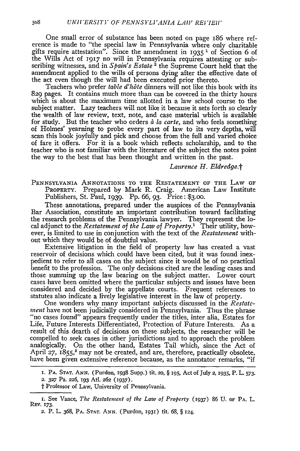One small error of substance has been noted on page 186 where reference is made to "the special law in Pennsylvania where only charitable gifts require attestation". Since the amendment in 1935 **1** of Section 6 of the Wills Act of **1917** no will in Pennsylvania requires attesting or subscribing witnesses, and in  $Spin's$  Estate<sup>2</sup> the Supreme Court held that the amendment applied to the wills of persons dying after the effective date of the act even though the will had been executed prior thereto.

Teachers who prefer *table d'h6te* dinners will not like this book with its 829 pages. It contains much more than can be covered in the thirty hours which is about the maximum time allotted in a law school course to the subject matter. Lazy teachers will not like it because it sets forth so clearly the wealth of law review, text, note, and case material which is available for study. But the teacher who orders *à la carte*, and who feels something of Holmes' yearning to probe every part of law to its very depths, will scan this book joyfully and pick and choose from the full and varied choice of fare it offers. For it is a book which reflects scholarship, and to the teacher who is not familiar with the literature of the subject the notes point the way to the best that has been thought and written in the past.

*Laurence H. Eldredge.t*

PENNSYLVANIA **ANNOTATIONS** TO THE **RESTATEMENT** OF THE LAW OF PROPERTY. Prepared by Mark R. Craig. American Law Institute Publishers, St. Paul, 1939. Pp. 66, **93.** Price: **\$3.00.**

These annotations, prepared under the auspices of the Pennsylvania Bar Association, constitute an important contribution toward facilitating the research problems of the Pennsylvania lawyer. They represent the local adjunct to the *Restatement of the Law of Property.'* Their utility, however, is limited to use in conjunction with the text of the *Restatement* without which they would be of doubtful value.

Extensive litigation in the field of property law has created a vast reservoir of decisions which could have been cited, but it was found inexpedient to refer to all cases on the subject since it would be of no practical benefit to the profession. The only decisions cited are the leading cases and those summing up the law bearing on the subject matter. Lower court cases have been omitted where the particular subjects and issues have been considered and decided by the appellate courts. Frequent references to statutes also indicate a lively legislative interest in the law of property.

One wonders why many important subjects discussed in the *Restateinent* have not been judicially considered in Pennsylvania. Thus the phrase *"no* cases found" appears frequently under the titles, inter alia, Estates for Life, Future Interests Differentiated, Protection of Future Interests. As a result of this dearth of decisions on these subjects, the researcher will be compelled to seek cases in other jurisdictions and to approach the problem analogically. On the other hand, Estates Tail which, since the Act of April 27, 1855,<sup>2</sup> may not be created, and are, therefore, practically obsolete, have been given extensive reference because, as the annotator remarks, "if

**<sup>1.</sup>** PA. **STAT. ANN.** (Purdon, 1938 Supp.) **tit. 20,** § **195,** Act of July 2, 1935, P. L. **573.** *2.* **327** Pa. **226,** 193 Atl. **262 (1937).**

t Professor of Law, University of Pennsylvania.

I. See Vance, *The Restatement of the Law of Property* (937) 86 U. OF PA. L. REv. **173.**

*<sup>2.</sup>* P. L. 368, PA. **STAT. ANN.** (Purdon, **I93I)** tit. 68, § 124.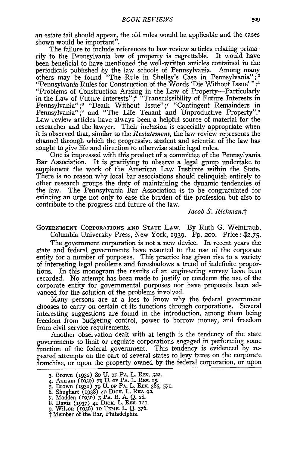an estate tail should appear, the old rules would be applicable and the cases shown would be important".

The failure to include references to law review articles relating primarily to the Pennsylvania law of property is regrettable. It would have been beneficial to have mentioned the well-written articles contained in the periodicals published by the law schools of Pennsylvania. Among many others may be found "The Rule in Shelley's Case in Pennsylvania";<sup>3</sup> "Pennsylvania Rules for Construction of the Words 'Die Without Issue' **";'** "Problems of Construction Arising in the Law of Property-Particularly in the Law of Future Interests" *;5* "Transmissibility of Future Interests in Pennsylvania";<sup>6</sup> "Death Without Issue";<sup>7</sup> "Contingent Remainders in Pennsylvania";<sup>8</sup> and "The Life Tenant and Unproductive Property".<sup>9</sup> Law review articles have always been a helpful source of material for the researcher and the lawyer. Their inclusion is especially appropriate when it is observed that, similar to the *Restatement,* the law review represents the channel through which the progressive student and scientist of the law has sought to give life and direction to otherwise static legal rules.

One is impressed with this product of a committee of the Pennsylvania Bar Association. It is gratifying to observe a legal group undertake to supplement the work of the American Law Institute within the State. There is no reason why local bar associations should relinquish entirely to other research groups the duty of maintaining the dynamic tendencies of the law. The Pennsylvania Bar Association is to be congratulated for evincing an urge not only to ease the burden of the profession but also to contribute to the progress and future of the law.

#### *Jacob S. Richman.t*

GOVERNMENT CORPORATIONS AND STATE LAW. By Ruth G. Weintraub.

Columbia University Press, New York, 1939. Pp. 20o. Price: **\$2.75.**

The government corporation is not a new device. In recent years the state and federal governments have resorted to the use of the corporate entity for a number of purposes. This practice has given rise to a variety of interesting legal problems and foreshadows a trend of indefinite proportions. In this monogram the results of an engineering survey have been recorded. No attempt has been made to justify or condemn the use of the corporate entity for governmental purposes nor have proposals been advanced for the solution of the problems involved.

Many persons are at a loss to know why the federal government chooses to carry on certain of its functions through corporations. Several interesting suggestions are found in the introduction, among them being freedom from budgeting control, power to borrow money, and freedom from civil service requirements.

Another observation dealt with at length is the tendency of the state governments to limit or regulate corporations engaged in performing some function of the federal government. This tendency is evidenced by repeated attempts on the part of several states to levy taxes on the corporate franchise, or upon the property owned by the federal corporation, or upon

**<sup>3.</sup>** Brown **(932) 80 U. OF** PA. L. REV. **522.**

<sup>4.</sup> Amram **(1930)** 79 U. OF **PA.** L. REv. 15. **S.** Brown **(1931)** *79* **U. OF PA.** L. REV. 385, **571.**

*<sup>6.</sup>* Shughart (1938) 42 DICK. L. R-v. 92. **7.** Madden **(1930)** 3 PA. B. A. Q. **28.**

**<sup>8.</sup>** Davis **(i937) 41 DIcK.** L. REv. **I20.**

**<sup>9.</sup>** Wilson (936) io TFmp. L. Q. 376. **'I** Member of the Bar, Philadelphia.